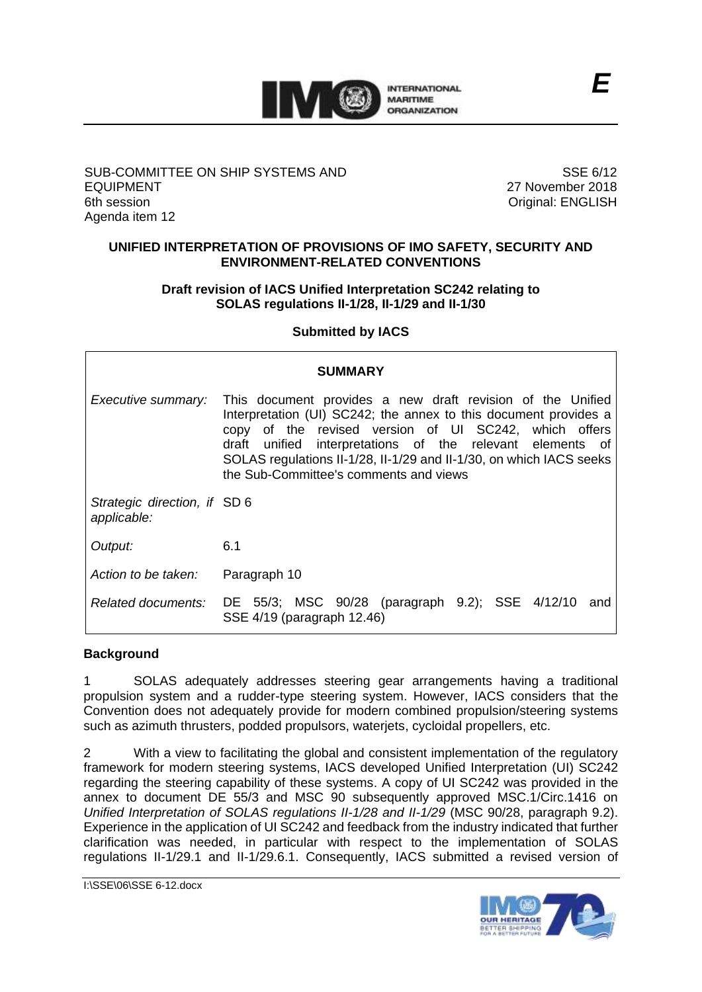

# SUB-COMMITTEE ON SHIP SYSTEMS AND EQUIPMENT 6th session Agenda item 12

SSE 6/12 27 November 2018 Original: ENGLISH

# **UNIFIED INTERPRETATION OF PROVISIONS OF IMO SAFETY, SECURITY AND ENVIRONMENT-RELATED CONVENTIONS**

# **Draft revision of IACS Unified Interpretation SC242 relating to SOLAS regulations II-1/28, II-1/29 and II-1/30**

# **Submitted by IACS**

|                                             | <b>SUMMARY</b>                                                                                                                                                                                                                                                                                                                                                        |
|---------------------------------------------|-----------------------------------------------------------------------------------------------------------------------------------------------------------------------------------------------------------------------------------------------------------------------------------------------------------------------------------------------------------------------|
| Executive summary:                          | This document provides a new draft revision of the Unified<br>Interpretation (UI) SC242; the annex to this document provides a<br>copy of the revised version of UI SC242, which offers<br>draft unified interpretations of the relevant elements of<br>SOLAS regulations II-1/28, II-1/29 and II-1/30, on which IACS seeks<br>the Sub-Committee's comments and views |
| Strategic direction, if SD 6<br>applicable: |                                                                                                                                                                                                                                                                                                                                                                       |
| Output:                                     | 6.1                                                                                                                                                                                                                                                                                                                                                                   |
| Action to be taken:                         | Paragraph 10                                                                                                                                                                                                                                                                                                                                                          |
|                                             | Related documents: DE 55/3; MSC 90/28 (paragraph 9.2); SSE 4/12/10<br>and<br>SSE 4/19 (paragraph 12.46)                                                                                                                                                                                                                                                               |

#### **Background**

1 SOLAS adequately addresses steering gear arrangements having a traditional propulsion system and a rudder-type steering system. However, IACS considers that the Convention does not adequately provide for modern combined propulsion/steering systems such as azimuth thrusters, podded propulsors, waterjets, cycloidal propellers, etc.

2 With a view to facilitating the global and consistent implementation of the regulatory framework for modern steering systems, IACS developed Unified Interpretation (UI) SC242 regarding the steering capability of these systems. A copy of UI SC242 was provided in the annex to document DE 55/3 and MSC 90 subsequently approved MSC.1/Circ.1416 on *Unified Interpretation of SOLAS regulations II-1/28 and II-1/29* (MSC 90/28, paragraph 9.2). Experience in the application of UI SC242 and feedback from the industry indicated that further clarification was needed, in particular with respect to the implementation of SOLAS regulations II-1/29.1 and II-1/29.6.1. Consequently, IACS submitted a revised version of

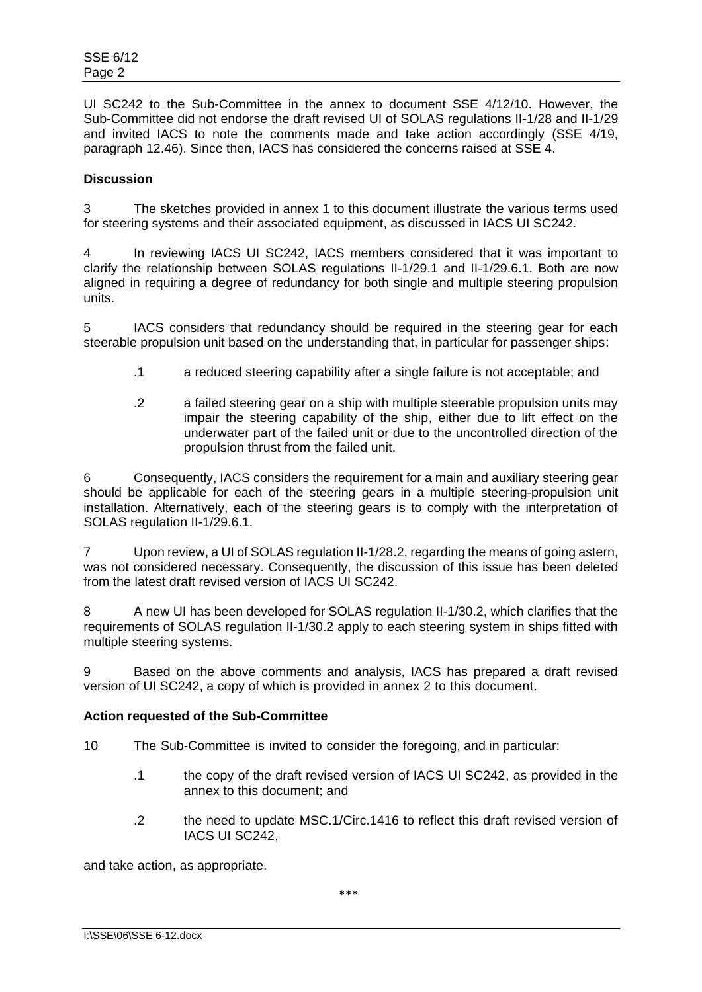UI SC242 to the Sub-Committee in the annex to document SSE 4/12/10. However, the Sub-Committee did not endorse the draft revised UI of SOLAS regulations II-1/28 and II-1/29 and invited IACS to note the comments made and take action accordingly (SSE 4/19, paragraph 12.46). Since then, IACS has considered the concerns raised at SSE 4.

# **Discussion**

3 The sketches provided in annex 1 to this document illustrate the various terms used for steering systems and their associated equipment, as discussed in IACS UI SC242.

4 In reviewing IACS UI SC242, IACS members considered that it was important to clarify the relationship between SOLAS regulations II-1/29.1 and II-1/29.6.1. Both are now aligned in requiring a degree of redundancy for both single and multiple steering propulsion units.

5 IACS considers that redundancy should be required in the steering gear for each steerable propulsion unit based on the understanding that, in particular for passenger ships:

- .1 a reduced steering capability after a single failure is not acceptable; and
- .2 a failed steering gear on a ship with multiple steerable propulsion units may impair the steering capability of the ship, either due to lift effect on the underwater part of the failed unit or due to the uncontrolled direction of the propulsion thrust from the failed unit.

6 Consequently, IACS considers the requirement for a main and auxiliary steering gear should be applicable for each of the steering gears in a multiple steering-propulsion unit installation. Alternatively, each of the steering gears is to comply with the interpretation of SOLAS regulation II-1/29.6.1.

7 Upon review, a UI of SOLAS regulation II-1/28.2, regarding the means of going astern, was not considered necessary. Consequently, the discussion of this issue has been deleted from the latest draft revised version of IACS UI SC242.

8 A new UI has been developed for SOLAS regulation II-1/30.2, which clarifies that the requirements of SOLAS regulation II-1/30.2 apply to each steering system in ships fitted with multiple steering systems.

9 Based on the above comments and analysis, IACS has prepared a draft revised version of UI SC242, a copy of which is provided in annex 2 to this document.

# **Action requested of the Sub-Committee**

- 10 The Sub-Committee is invited to consider the foregoing, and in particular:
	- .1 the copy of the draft revised version of IACS UI SC242, as provided in the annex to this document; and
	- .2 the need to update MSC.1/Circ.1416 to reflect this draft revised version of IACS UI SC242,

and take action, as appropriate.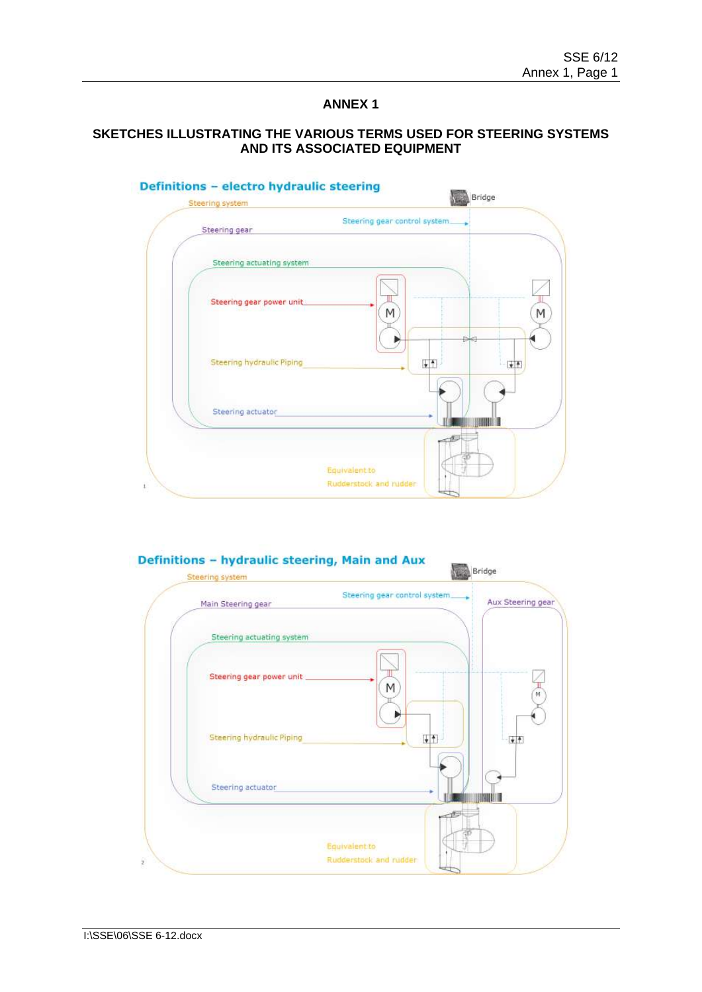# **ANNEX 1**

# **SKETCHES ILLUSTRATING THE VARIOUS TERMS USED FOR STEERING SYSTEMS AND ITS ASSOCIATED EQUIPMENT**



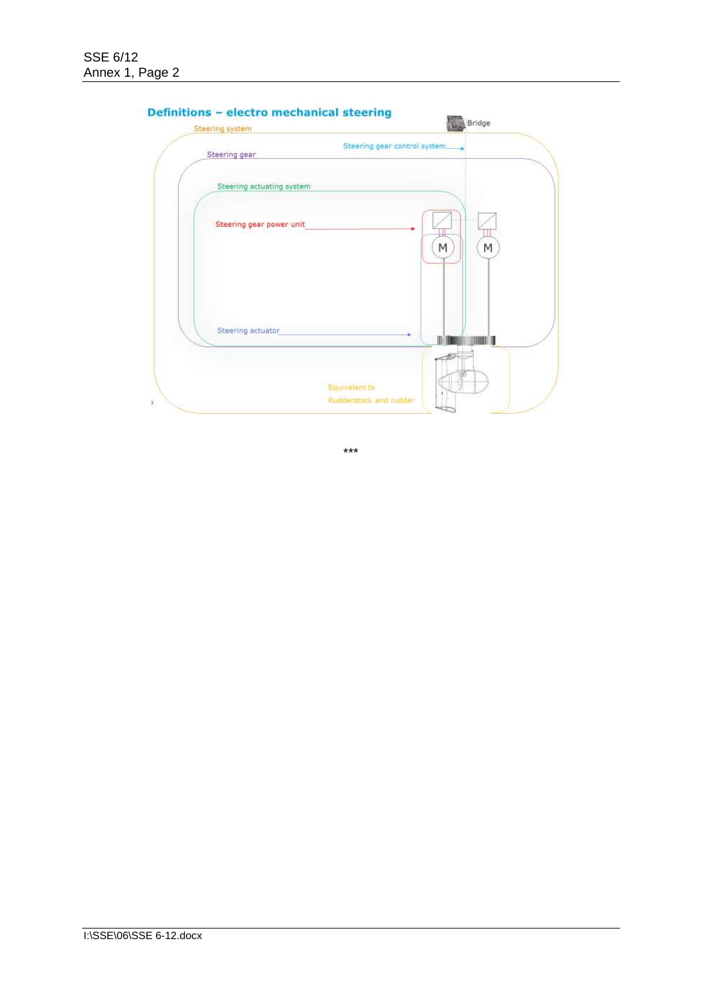| Steering gear             | Steering gear control system. |   |   |
|---------------------------|-------------------------------|---|---|
| Steering actuating system |                               |   |   |
| Steering gear power unit  |                               |   |   |
|                           |                               | M | M |
|                           |                               |   |   |
|                           |                               |   |   |
| Steering actuator         |                               | Ш |   |
|                           |                               |   |   |

# Definitions - ele

\*\*\*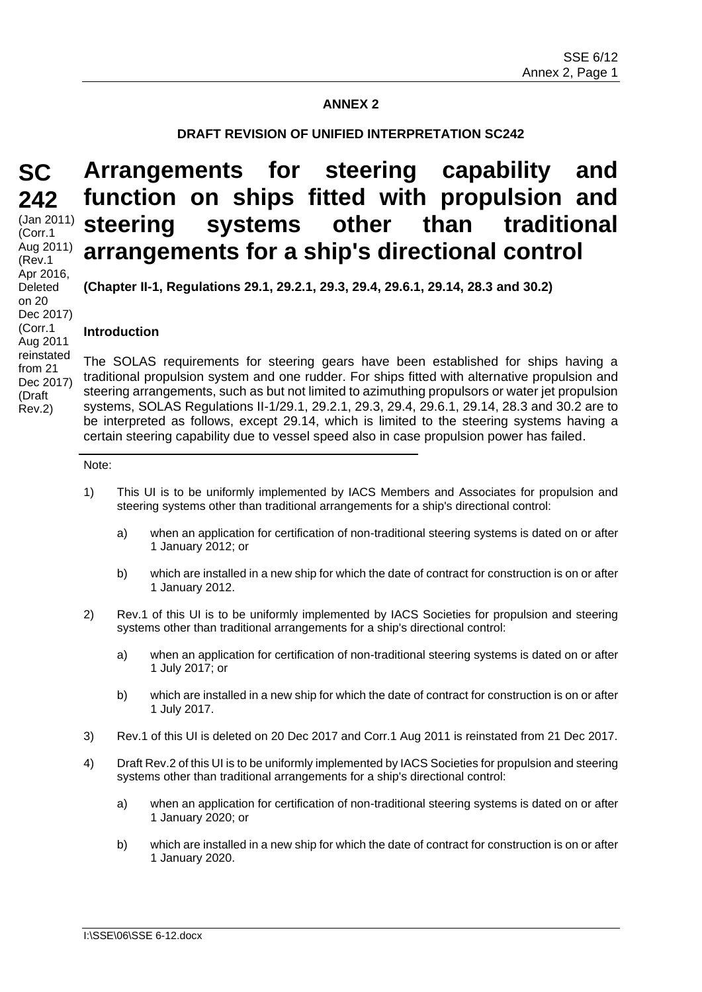# **ANNEX 2**

### **DRAFT REVISION OF UNIFIED INTERPRETATION SC242**

**Arrangements for steering capability and** 

**function on ships fitted with propulsion and** 

# **SC 242**

(Jan 2011) (Corr.1 Aug 2011) (Rev.1 Apr 2016, Deleted on 20 Dec 2017) (Corr.1 Aug 2011 reinstated from 21 Dec 2017) (Draft Rev.2)

# **steering systems other than traditional arrangements for a ship's directional control**

**(Chapter II-1, Regulations 29.1, 29.2.1, 29.3, 29.4, 29.6.1, 29.14, 28.3 and 30.2)**

### **Introduction**

The SOLAS requirements for steering gears have been established for ships having a traditional propulsion system and one rudder. For ships fitted with alternative propulsion and steering arrangements, such as but not limited to azimuthing propulsors or water jet propulsion systems, SOLAS Regulations II-1/29.1, 29.2.1, 29.3, 29.4, 29.6.1, 29.14, 28.3 and 30.2 are to be interpreted as follows, except 29.14, which is limited to the steering systems having a certain steering capability due to vessel speed also in case propulsion power has failed.

#### Note:

- 1) This UI is to be uniformly implemented by IACS Members and Associates for propulsion and steering systems other than traditional arrangements for a ship's directional control:
	- a) when an application for certification of non-traditional steering systems is dated on or after 1 January 2012; or
	- b) which are installed in a new ship for which the date of contract for construction is on or after 1 January 2012.
- 2) Rev.1 of this UI is to be uniformly implemented by IACS Societies for propulsion and steering systems other than traditional arrangements for a ship's directional control:
	- a) when an application for certification of non-traditional steering systems is dated on or after 1 July 2017; or
	- b) which are installed in a new ship for which the date of contract for construction is on or after 1 July 2017.
- 3) Rev.1 of this UI is deleted on 20 Dec 2017 and Corr.1 Aug 2011 is reinstated from 21 Dec 2017.
- 4) Draft Rev.2 of this UI is to be uniformly implemented by IACS Societies for propulsion and steering systems other than traditional arrangements for a ship's directional control:
	- a) when an application for certification of non-traditional steering systems is dated on or after 1 January 2020; or
	- b) which are installed in a new ship for which the date of contract for construction is on or after 1 January 2020.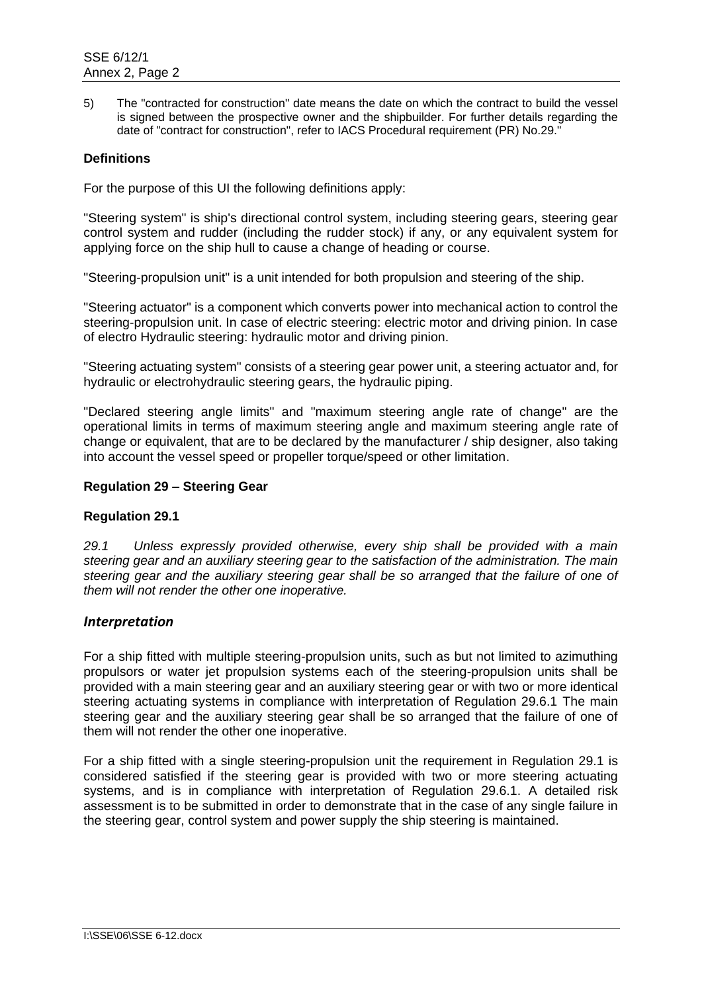5) The "contracted for construction" date means the date on which the contract to build the vessel is signed between the prospective owner and the shipbuilder. For further details regarding the date of "contract for construction", refer to IACS Procedural requirement (PR) No.29."

# **Definitions**

For the purpose of this UI the following definitions apply:

"Steering system" is ship's directional control system, including steering gears, steering gear control system and rudder (including the rudder stock) if any, or any equivalent system for applying force on the ship hull to cause a change of heading or course.

"Steering-propulsion unit" is a unit intended for both propulsion and steering of the ship.

"Steering actuator" is a component which converts power into mechanical action to control the steering-propulsion unit. In case of electric steering: electric motor and driving pinion. In case of electro Hydraulic steering: hydraulic motor and driving pinion.

"Steering actuating system" consists of a steering gear power unit, a steering actuator and, for hydraulic or electrohydraulic steering gears, the hydraulic piping.

"Declared steering angle limits" and "maximum steering angle rate of change" are the operational limits in terms of maximum steering angle and maximum steering angle rate of change or equivalent, that are to be declared by the manufacturer / ship designer, also taking into account the vessel speed or propeller torque/speed or other limitation.

### **Regulation 29 – Steering Gear**

# **Regulation 29.1**

*29.1 Unless expressly provided otherwise, every ship shall be provided with a main steering gear and an auxiliary steering gear to the satisfaction of the administration. The main*  steering gear and the auxiliary steering gear shall be so arranged that the failure of one of *them will not render the other one inoperative.*

# *Interpretation*

For a ship fitted with multiple steering-propulsion units, such as but not limited to azimuthing propulsors or water jet propulsion systems each of the steering-propulsion units shall be provided with a main steering gear and an auxiliary steering gear or with two or more identical steering actuating systems in compliance with interpretation of Regulation 29.6.1 The main steering gear and the auxiliary steering gear shall be so arranged that the failure of one of them will not render the other one inoperative.

For a ship fitted with a single steering-propulsion unit the requirement in Regulation 29.1 is considered satisfied if the steering gear is provided with two or more steering actuating systems, and is in compliance with interpretation of Regulation 29.6.1. A detailed risk assessment is to be submitted in order to demonstrate that in the case of any single failure in the steering gear, control system and power supply the ship steering is maintained.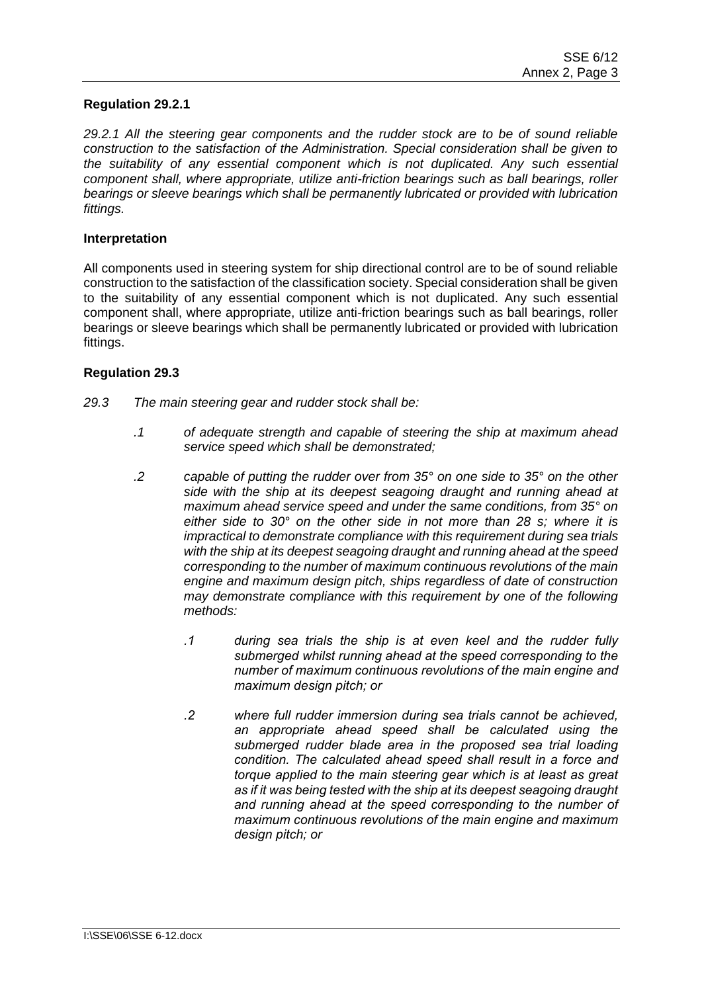# **Regulation 29.2.1**

*29.2.1 All the steering gear components and the rudder stock are to be of sound reliable construction to the satisfaction of the Administration. Special consideration shall be given to the suitability of any essential component which is not duplicated. Any such essential component shall, where appropriate, utilize anti-friction bearings such as ball bearings, roller bearings or sleeve bearings which shall be permanently lubricated or provided with lubrication fittings.*

#### **Interpretation**

All components used in steering system for ship directional control are to be of sound reliable construction to the satisfaction of the classification society. Special consideration shall be given to the suitability of any essential component which is not duplicated. Any such essential component shall, where appropriate, utilize anti-friction bearings such as ball bearings, roller bearings or sleeve bearings which shall be permanently lubricated or provided with lubrication fittings.

### **Regulation 29.3**

- *29.3 The main steering gear and rudder stock shall be:*
	- *.1 of adequate strength and capable of steering the ship at maximum ahead service speed which shall be demonstrated;*
	- *.2 capable of putting the rudder over from 35° on one side to 35° on the other side with the ship at its deepest seagoing draught and running ahead at maximum ahead service speed and under the same conditions, from 35° on either side to 30° on the other side in not more than 28 s; where it is impractical to demonstrate compliance with this requirement during sea trials with the ship at its deepest seagoing draught and running ahead at the speed corresponding to the number of maximum continuous revolutions of the main engine and maximum design pitch, ships regardless of date of construction may demonstrate compliance with this requirement by one of the following methods:*
		- *.1 during sea trials the ship is at even keel and the rudder fully submerged whilst running ahead at the speed corresponding to the number of maximum continuous revolutions of the main engine and maximum design pitch; or*
		- *.2 where full rudder immersion during sea trials cannot be achieved, an appropriate ahead speed shall be calculated using the submerged rudder blade area in the proposed sea trial loading condition. The calculated ahead speed shall result in a force and torque applied to the main steering gear which is at least as great as if it was being tested with the ship at its deepest seagoing draught and running ahead at the speed corresponding to the number of maximum continuous revolutions of the main engine and maximum design pitch; or*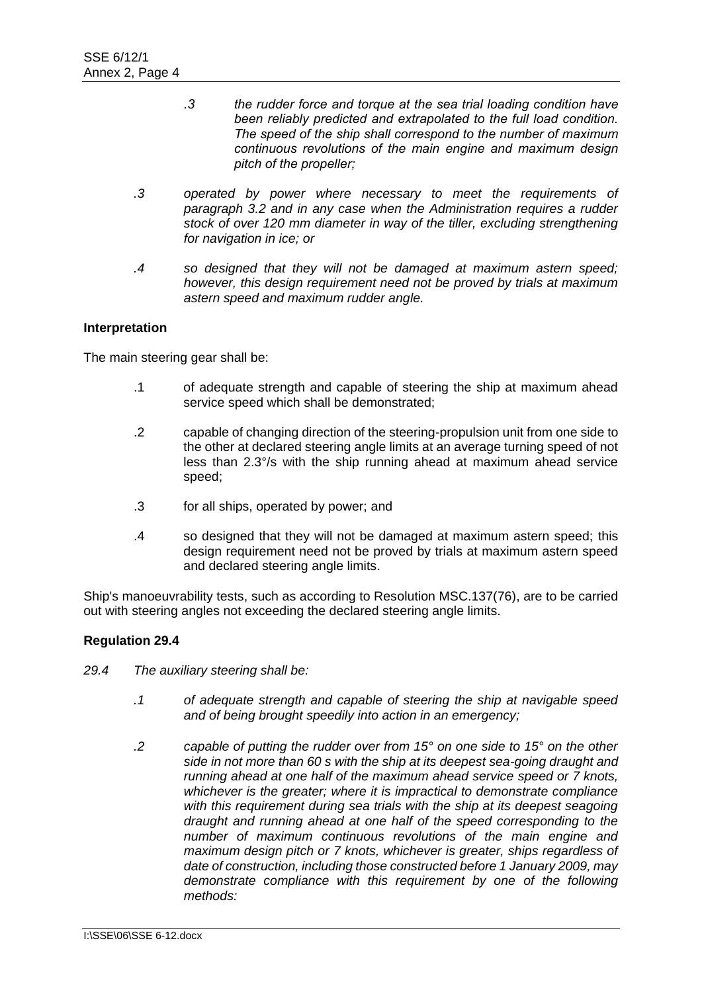- *.3 the rudder force and torque at the sea trial loading condition have been reliably predicted and extrapolated to the full load condition. The speed of the ship shall correspond to the number of maximum continuous revolutions of the main engine and maximum design pitch of the propeller;*
- *.3 operated by power where necessary to meet the requirements of paragraph 3.2 and in any case when the Administration requires a rudder stock of over 120 mm diameter in way of the tiller, excluding strengthening for navigation in ice; or*
- *.4 so designed that they will not be damaged at maximum astern speed; however, this design requirement need not be proved by trials at maximum astern speed and maximum rudder angle.*

The main steering gear shall be:

- .1 of adequate strength and capable of steering the ship at maximum ahead service speed which shall be demonstrated;
- .2 capable of changing direction of the steering-propulsion unit from one side to the other at declared steering angle limits at an average turning speed of not less than 2.3°/s with the ship running ahead at maximum ahead service speed;
- .3 for all ships, operated by power; and
- .4 so designed that they will not be damaged at maximum astern speed; this design requirement need not be proved by trials at maximum astern speed and declared steering angle limits.

Ship's manoeuvrability tests, such as according to Resolution MSC.137(76), are to be carried out with steering angles not exceeding the declared steering angle limits.

# **Regulation 29.4**

- *29.4 The auxiliary steering shall be:*
	- *.1 of adequate strength and capable of steering the ship at navigable speed and of being brought speedily into action in an emergency;*
	- *.2 capable of putting the rudder over from 15° on one side to 15° on the other side in not more than 60 s with the ship at its deepest sea-going draught and running ahead at one half of the maximum ahead service speed or 7 knots, whichever is the greater; where it is impractical to demonstrate compliance*  with this requirement during sea trials with the ship at its deepest seagoing *draught and running ahead at one half of the speed corresponding to the number of maximum continuous revolutions of the main engine and maximum design pitch or 7 knots, whichever is greater, ships regardless of date of construction, including those constructed before 1 January 2009, may demonstrate compliance with this requirement by one of the following methods:*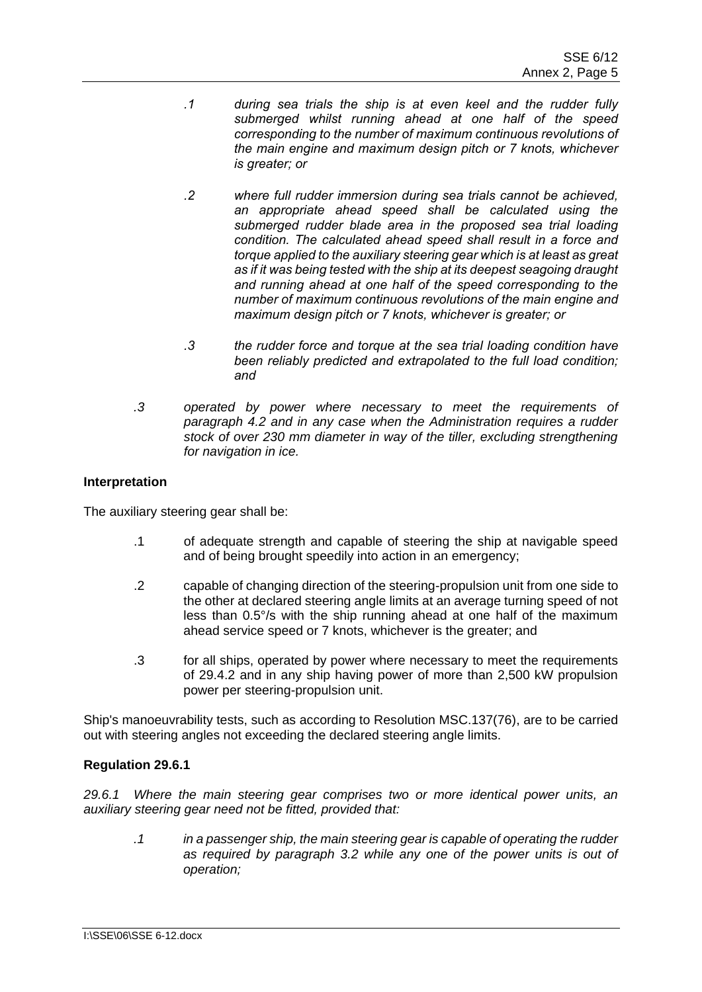- *.1 during sea trials the ship is at even keel and the rudder fully submerged whilst running ahead at one half of the speed corresponding to the number of maximum continuous revolutions of the main engine and maximum design pitch or 7 knots, whichever is greater; or*
- *.2 where full rudder immersion during sea trials cannot be achieved, an appropriate ahead speed shall be calculated using the submerged rudder blade area in the proposed sea trial loading condition. The calculated ahead speed shall result in a force and torque applied to the auxiliary steering gear which is at least as great as if it was being tested with the ship at its deepest seagoing draught and running ahead at one half of the speed corresponding to the number of maximum continuous revolutions of the main engine and maximum design pitch or 7 knots, whichever is greater; or*
- *.3 the rudder force and torque at the sea trial loading condition have been reliably predicted and extrapolated to the full load condition; and*
- *.3 operated by power where necessary to meet the requirements of paragraph 4.2 and in any case when the Administration requires a rudder stock of over 230 mm diameter in way of the tiller, excluding strengthening for navigation in ice.*

The auxiliary steering gear shall be:

- .1 of adequate strength and capable of steering the ship at navigable speed and of being brought speedily into action in an emergency;
- .2 capable of changing direction of the steering-propulsion unit from one side to the other at declared steering angle limits at an average turning speed of not less than 0.5°/s with the ship running ahead at one half of the maximum ahead service speed or 7 knots, whichever is the greater; and
- .3 for all ships, operated by power where necessary to meet the requirements of 29.4.2 and in any ship having power of more than 2,500 kW propulsion power per steering-propulsion unit.

Ship's manoeuvrability tests, such as according to Resolution MSC.137(76), are to be carried out with steering angles not exceeding the declared steering angle limits.

# **Regulation 29.6.1**

*29.6.1 Where the main steering gear comprises two or more identical power units, an auxiliary steering gear need not be fitted, provided that:*

*.1 in a passenger ship, the main steering gear is capable of operating the rudder as required by paragraph 3.2 while any one of the power units is out of operation;*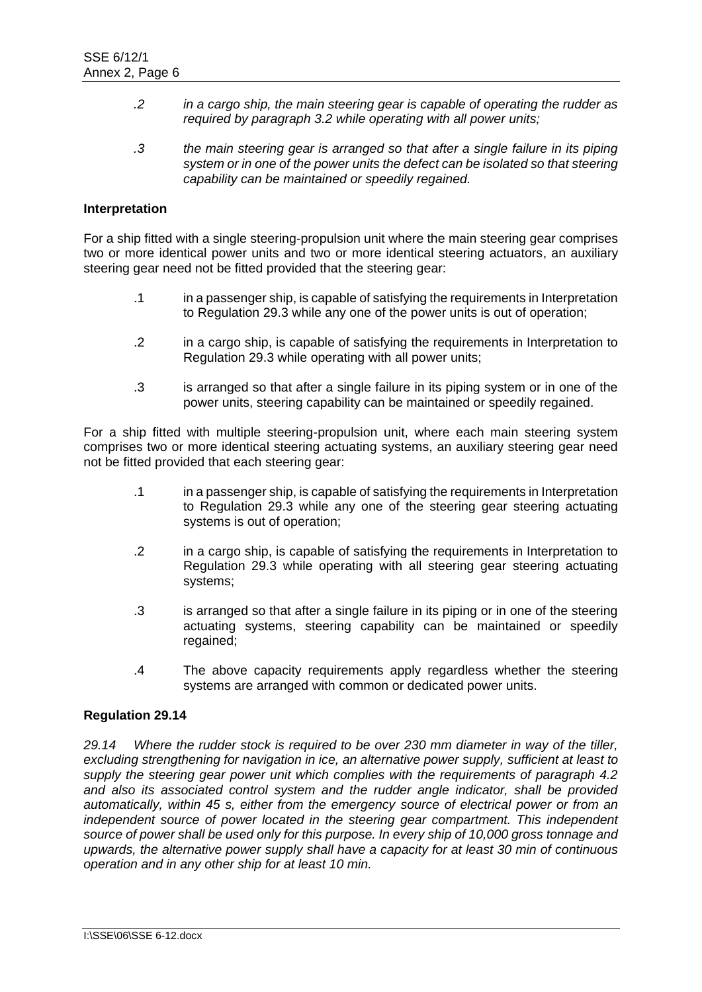- *.2 in a cargo ship, the main steering gear is capable of operating the rudder as required by paragraph 3.2 while operating with all power units;*
- *.3 the main steering gear is arranged so that after a single failure in its piping system or in one of the power units the defect can be isolated so that steering capability can be maintained or speedily regained.*

For a ship fitted with a single steering-propulsion unit where the main steering gear comprises two or more identical power units and two or more identical steering actuators, an auxiliary steering gear need not be fitted provided that the steering gear:

- .1 in a passenger ship, is capable of satisfying the requirements in Interpretation to Regulation 29.3 while any one of the power units is out of operation;
- .2 in a cargo ship, is capable of satisfying the requirements in Interpretation to Regulation 29.3 while operating with all power units;
- .3 is arranged so that after a single failure in its piping system or in one of the power units, steering capability can be maintained or speedily regained.

For a ship fitted with multiple steering-propulsion unit, where each main steering system comprises two or more identical steering actuating systems, an auxiliary steering gear need not be fitted provided that each steering gear:

- .1 in a passenger ship, is capable of satisfying the requirements in Interpretation to Regulation 29.3 while any one of the steering gear steering actuating systems is out of operation;
- .2 in a cargo ship, is capable of satisfying the requirements in Interpretation to Regulation 29.3 while operating with all steering gear steering actuating systems;
- .3 is arranged so that after a single failure in its piping or in one of the steering actuating systems, steering capability can be maintained or speedily regained:
- .4 The above capacity requirements apply regardless whether the steering systems are arranged with common or dedicated power units.

#### **Regulation 29.14**

*29.14 Where the rudder stock is required to be over 230 mm diameter in way of the tiller, excluding strengthening for navigation in ice, an alternative power supply, sufficient at least to supply the steering gear power unit which complies with the requirements of paragraph 4.2 and also its associated control system and the rudder angle indicator, shall be provided automatically, within 45 s, either from the emergency source of electrical power or from an independent source of power located in the steering gear compartment. This independent source of power shall be used only for this purpose. In every ship of 10,000 gross tonnage and upwards, the alternative power supply shall have a capacity for at least 30 min of continuous operation and in any other ship for at least 10 min.*